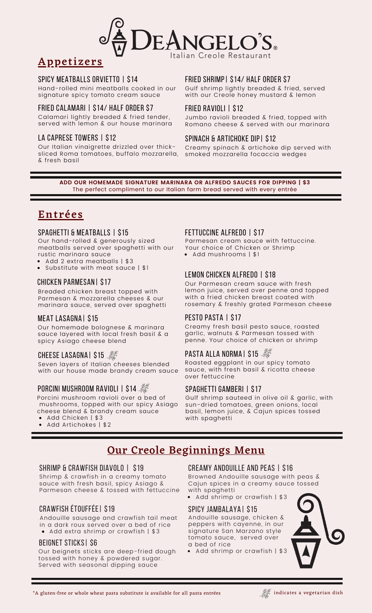

# **Appetizers**

#### Spicy Meatballs Orvietto | \$14

Hand-rolled mini meatballs cooked in our signature spicy tomato cream sauce

#### FRIED CALAMARI | \$14/ HALF ORDER \$7

Calamari lightly breaded & fried tender, served with lemon & our house marinara

#### LA CAPRESE TOWERS | \$12

Our Italian vinaigrette drizzled over thicksliced Roma tomatoes, buffalo mozzarella, & fresh basil

#### FRIED SHRIMP| \$14/ HALF ORDER \$7

Gulf shrimp lightly breaded & fried, served with our Creole honey mustard & lemon

#### Fried Ravioli | \$12

Jumbo ravioli breaded & fried, topped with Romano cheese & served with our marinara

#### Spinach & Artichoke Dip| \$12

Creamy spinach & artichoke dip served with smoked mozzarella focaccia wedges

**ADD OUR HOMEMADE SIGNATURE MARINARA OR ALFREDO SAUCES FOR DIPPING | \$3** The perfect compliment to our Italian farm bread served with every entrée

## Ent rées

#### SPAGHETTI & MEATBALLS | \$15

Our hand-rolled & generously sized meatballs served over spaghetti with our rustic marinara sauce

Add 2 extra meatballs | \$3

Substitute with meat sauce | \$1

#### Chicken Parmesan| \$17

Breaded chicken breast topped with Parmesan & mozzarella cheeses & our marinara sauce, served over spaghetti

#### Meat Lasagna| \$15

Our homemade bolognese & marinara sauce layered with local fresh basil & a spicy Asiago cheese blend

#### CHEESE LASAGNA | \$15

Seven layers of Italian cheeses blended with our house made brandy cream sauce

#### PORCINI MUSHROOM RAVIOLI | \$14

Porcini mushroom ravioli over a bed of mushrooms, topped with our spicy Asiago cheese blend & brandy cream sauce

- Add Chicken | \$3
- Add Artichokes | \$2

#### Fettuccine Alfredo | \$17

Add mushrooms | \$1 Parmesan cream sauce with fettuccine. Your choice of Chicken or Shrimp

# LEMON CHICKEN ALFREDO | \$18

Our Parmesan cream sauce with fresh lemon juice, served over penne and topped with a fried chicken breast coated with rosemary & freshly grated Parmesan cheese

#### PESTO PASTA | \$17

Creamy fresh basil pesto sauce, roasted garlic, walnuts & Parmesan tossed with penne. Your choice of chicken or shrimp

### **PASTA ALLA NORMAI \$15**

Roasted eggplant in our spicy tomato sauce, with fresh basil & ricotta cheese over fettuccine

#### Spaghetti Gamberi | \$17

Gulf shrimp sauteed in olive oil & garlic, with sun-dried tomatoes, green onions, local basil, lemon juice, & Cajun spices tossed with spaghetti

# Our Creole Beginnings Menu

#### SHRIMP & CRAWFISH DIAVOLO | \$19

Shrimp & crawfish in a creamy tomato sauce with fresh basil, spicy Asiago & Parmesan cheese & tossed with fettuccine

#### Crawfish étouffée| \$19

• Add extra shrimp or crawfish | \$3 Andouille sausage and crawfish tail meat in a dark roux served over a bed of rice

#### BEignet Sticks| \$6

Our beignets sticks are deep-fried dough tossed with honey & powdered sugar. Served with seasonal dipping sauce

#### creamy Andouille and peas | \$16

Browned Andouille sausage with peas & Cajun spices in a creamy sauce tossed with spaghetti

• Add shrimp or crawfish | \$3

#### Spicy Jambalaya| \$15

Andouille sausage, chicken & peppers with cayenne, in our signature San Marzano style tomato sauce, served over a bed of rice

Add shrimp or crawfish | \$3